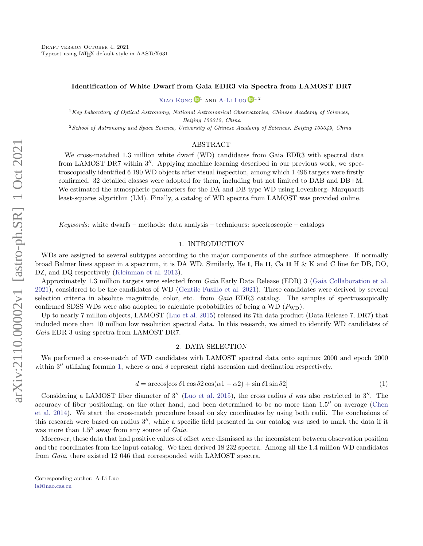### Identification of White Dwarf from Gaia EDR3 via Spectra from LAMOST DR7

XIAO KONG  $\mathbb{D}^1$  AND A-LI Luo  $\mathbb{D}^{1,2}$ 

 ${}^{1}$ Key Laboratory of Optical Astronomy, National Astronomical Observatories, Chinese Academy of Sciences, Beijing 100012, China

<sup>2</sup>School of Astronomy and Space Science, University of Chinese Academy of Sciences, Beijing 100049, China

# ABSTRACT

We cross-matched 1.3 million white dwarf (WD) candidates from Gaia EDR3 with spectral data from LAMOST DR7 within 3''. Applying machine learning described in our previous work, we spectroscopically identified 6 190 WD objects after visual inspection, among which 1 496 targets were firstly confirmed. 32 detailed classes were adopted for them, including but not limited to DAB and DB+M. We estimated the atmospheric parameters for the DA and DB type WD using Levenberg- Marquardt least-squares algorithm (LM). Finally, a catalog of WD spectra from LAMOST was provided online.

Keywords: white dwarfs – methods: data analysis – techniques: spectroscopic – catalogs

#### 1. INTRODUCTION

WDs are assigned to several subtypes according to the major components of the surface atmosphere. If normally broad Balmer lines appear in a spectrum, it is DA WD. Similarly, He I, He II, Ca II H & K and C line for DB, DO, DZ, and DQ respectively [\(Kleinman et al.](#page-2-0) [2013\)](#page-2-0).

Approximately 1.3 million targets were selected from Gaia Early Data Release (EDR) 3 [\(Gaia Collaboration et al.](#page-2-1) [2021\)](#page-2-1), considered to be the candidates of WD [\(Gentile Fusillo et al.](#page-2-2) [2021\)](#page-2-2). These candidates were derived by several selection criteria in absolute magnitude, color, etc. from Gaia EDR3 catalog. The samples of spectroscopically confirmed SDSS WDs were also adopted to calculate probabilities of being a WD  $(P_{WD})$ .

Up to nearly 7 million objects, LAMOST [\(Luo et al.](#page-2-3) [2015\)](#page-2-3) released its 7th data product (Data Release 7, DR7) that included more than 10 million low resolution spectral data. In this research, we aimed to identify WD candidates of Gaia EDR 3 using spectra from LAMOST DR7.

### 2. DATA SELECTION

We performed a cross-match of WD candidates with LAMOST spectral data onto equinox 2000 and epoch 2000 within 3" utilizing formula [1,](#page-0-0) where  $\alpha$  and  $\delta$  represent right ascension and declination respectively.

<span id="page-0-0"></span>
$$
d = \arccos[\cos\delta 1 \cos\delta 2 \cos(\alpha 1 - \alpha 2) + \sin\delta 1 \sin\delta 2]
$$
\n(1)

Considering a LAMOST fiber diameter of 3" [\(Luo et al.](#page-2-3) [2015\)](#page-2-3), the cross radius d was also restricted to 3". The accuracy of fiber positioning, on the other hand, had been determined to be no more than 1.5" on average [\(Chen](#page-2-4) [et al.](#page-2-4) [2014\)](#page-2-4). We start the cross-match procedure based on sky coordinates by using both radii. The conclusions of this research were based on radius  $3''$ , while a specific field presented in our catalog was used to mark the data if it was more than  $1.5''$  away from any source of Gaia.

Moreover, these data that had positive values of offset were dismissed as the inconsistent between observation position and the coordinates from the input catalog. We then derived 18 232 spectra. Among all the 1.4 million WD candidates from Gaia, there existed 12 046 that corresponded with LAMOST spectra.

Corresponding author: A-Li Luo [lal@nao.cas.cn](mailto: lal@nao.cas.cn)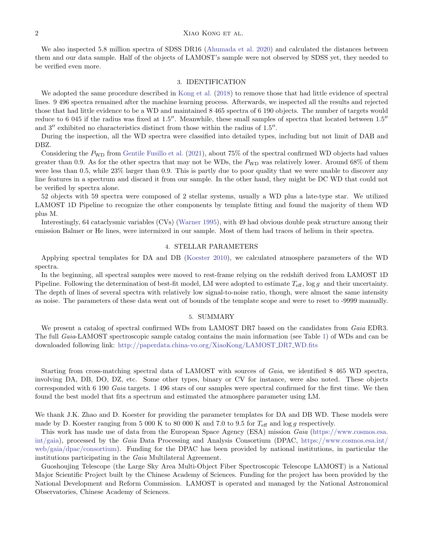# 2 XIAO KONG ET AL.

We also inspected 5.8 million spectra of SDSS DR16 [\(Ahumada et al.](#page-2-5) [2020\)](#page-2-5) and calculated the distances between them and our data sample. Half of the objects of LAMOST's sample were not observed by SDSS yet, they needed to be verified even more.

### 3. IDENTIFICATION

We adopted the same procedure described in [Kong et al.](#page-2-6) [\(2018\)](#page-2-6) to remove those that had little evidence of spectral lines. 9 496 spectra remained after the machine learning process. Afterwards, we inspected all the results and rejected those that had little evidence to be a WD and maintained 8 465 spectra of 6 190 objects. The number of targets would reduce to 6 045 if the radius was fixed at  $1.5''$ . Meanwhile, these small samples of spectra that located between  $1.5''$ and  $3''$  exhibited no characteristics distinct from those within the radius of  $1.5''$ .

During the inspection, all the WD spectra were classified into detailed types, including but not limit of DAB and DBZ.

Considering the  $P_{WD}$  from [Gentile Fusillo et al.](#page-2-2) [\(2021\)](#page-2-2), about 75% of the spectral confirmed WD objects had values greater than 0.9. As for the other spectra that may not be WDs, the  $P_{WD}$  was relatively lower. Around 68% of them were less than 0.5, while 23% larger than 0.9. This is partly due to poor quality that we were unable to discover any line features in a spectrum and discard it from our sample. In the other hand, they might be DC WD that could not be verified by spectra alone.

52 objects with 59 spectra were composed of 2 stellar systems, usually a WD plus a late-type star. We utilized LAMOST 1D Pipeline to recognize the other components by template fitting and found the majority of them WD plus M.

Interestingly, 64 cataclysmic variables (CVs) [\(Warner](#page-2-7) [1995\)](#page-2-7), with 49 had obvious double peak structure among their emission Balmer or He lines, were intermixed in our sample. Most of them had traces of helium in their spectra.

### 4. STELLAR PARAMETERS

Applying spectral templates for DA and DB [\(Koester](#page-2-8) [2010\)](#page-2-8), we calculated atmosphere parameters of the WD spectra.

In the beginning, all spectral samples were moved to rest-frame relying on the redshift derived from LAMOST 1D Pipeline. Following the determination of best-fit model, LM were adopted to estimate  $T_{\text{eff}}$ , log g and their uncertainty. The depth of lines of several spectra with relatively low signal-to-noise ratio, though, were almost the same intensity as noise. The parameters of these data went out of bounds of the template scope and were to reset to -9999 manually.

#### 5. SUMMARY

We present a catalog of spectral confirmed WDs from LAMOST DR7 based on the candidates from Gaia EDR3. The full Gaia-LAMOST spectroscopic sample catalog contains the main information (see Table [1\)](#page-2-9) of WDs and can be downloaded following link: [http://paperdata.china-vo.org/XiaoKong/LAMOST](http://paperdata.china-vo.org/XiaoKong/LAMOST_DR7_WD.fits) DR7 WD.fits

Starting from cross-matching spectral data of LAMOST with sources of Gaia, we identified 8 465 WD spectra, involving DA, DB, DO, DZ, etc. Some other types, binary or CV for instance, were also noted. These objects corresponded with 6 190 Gaia targets. 1 496 stars of our samples were spectral confirmed for the first time. We then found the best model that fits a spectrum and estimated the atmosphere parameter using LM.

We thank J.K. Zhao and D. Koester for providing the parameter templates for DA and DB WD. These models were made by D. Koester ranging from 5 000 K to 80 000 K and 7.0 to 9.5 for  $T_{\text{eff}}$  and log g respectively.

This work has made use of data from the European Space Agency (ESA) mission Gaia [\(https://www.cosmos.esa.](https://www.cosmos.esa.int/gaia) [int/gaia\)](https://www.cosmos.esa.int/gaia), processed by the Gaia Data Processing and Analysis Consortium (DPAC, [https://www.cosmos.esa.int/](https://www.cosmos.esa.int/web/gaia/dpac/consortium) [web/gaia/dpac/consortium\)](https://www.cosmos.esa.int/web/gaia/dpac/consortium). Funding for the DPAC has been provided by national institutions, in particular the institutions participating in the Gaia Multilateral Agreement.

Guoshoujing Telescope (the Large Sky Area Multi-Object Fiber Spectroscopic Telescope LAMOST) is a National Major Scientific Project built by the Chinese Academy of Sciences. Funding for the project has been provided by the National Development and Reform Commission. LAMOST is operated and managed by the National Astronomical Observatories, Chinese Academy of Sciences.